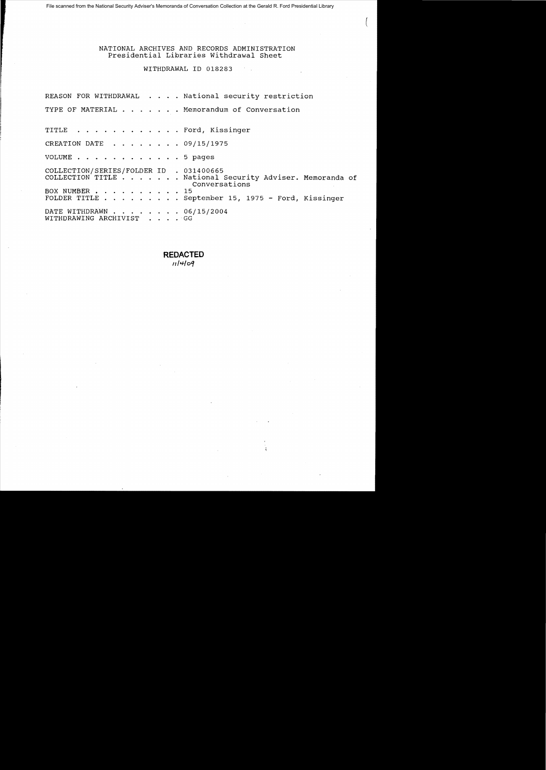File scanned from the National Security Adviser's Memoranda of Conversation Collection at the Gerald R. Ford Presidential Library

# NATIONAL ARCHIVES AND RECORDS ADMINISTRATION Presidential Libraries withdrawal Sheet

# WITHDRAWAL 10 018283

REASON FOR WITHDRAWAL . . . . National security restriction TYPE OF MATERIAL . . . . . . Memorandum of Conversation TITLE . . . . . . . . . . . . Ford, Kissinger CREATION DATE . . . . . . . 09/15/1975 VOLUME . . . . . . . . . . . . 5 pages COLLECTION/SERIES/FOLDER ID . 031400665<br>COLLECTION TITLE . . . . . . National Security Adviser. Memoranda of . National Security Adviser. Memoranda of<br>Conversations<br>15 BOX NUMBER . . . . . . . . .<br>FOLDER TITLE . . . . . . .  $\cdots$  . . . . September 15, 1975 - Ford, Kissinger DATE WITHDRAWN . . . . . . . . 06/15/2004<br>WITHDRAWING ARCHIVIST . . . . GG WITHDRAWING ARCHIVIST

> **REDACTED**   $11409$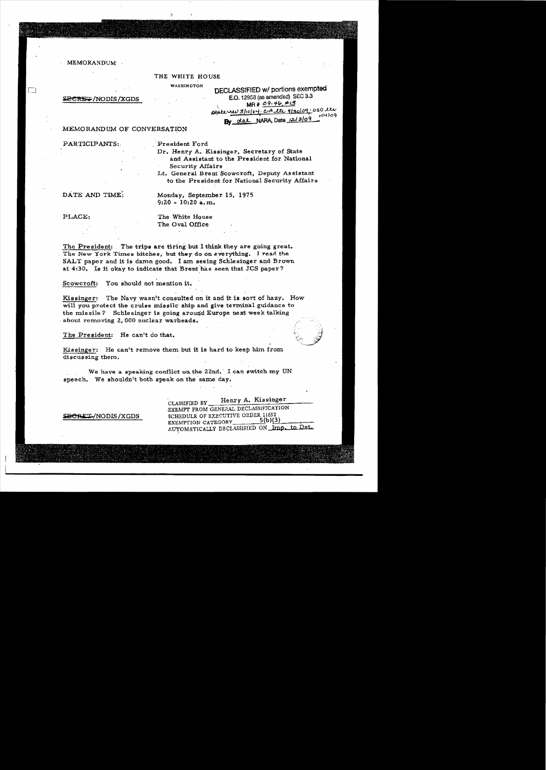MEMORANDUM

#### THE WHITE HOUSE

SECRET/NODIS/XGDS

| WASHINGTON | <b>DECLASSIFIED w/ portions exempted</b>              |
|------------|-------------------------------------------------------|
|            | E.O. 12958 (as amended) SEC 3.3                       |
|            | $MR#09-46, #13$                                       |
|            | ptate rev 3/10/04. CIA the 9/30/09:050 lts<br>1114109 |
|            | dal NARA Date 12/3/09<br>Βv                           |

# MEMORANDUM OF CONVERSATION

PARTICIPANTS: President Ford

Dr. Henry A. Kissinger, Secretary of State and Assistant to the President for National Security Affairs

Lt. General Brent Scowcroft, Deputy Assistant to the President for National Security Affairs

DATE AND TIME; Monday, September 15, 1975 9:20 - 10:20 a.m.

PLACE: The White House The Oval Office

The President: The trips are tiring but I think they are going great. The New York Times bitches, but they do on everything. I read the SALT paper and it is damn good. I am seeing Schlesinger and Brown at 4:30. Is it okay to indicate that Brent has seen that JCS paper?

Scoweroft: You should not mention it.

Kissinger: The Navy wasn't consulted on it and it is, sort of hazy. How will you protect the cruise missile ship and give terminal guidance to the missile? Schlesinger is going around Europe next week talking about removing 2.000 nuclear warheads.

The President: He can't do that.

Kissinger: He can't remove them but it is hard to keep him from discussing them.

We have a speaking conflict on the 22nd. I can switch my UN speech. We shouldn't both speak on the same day.

CLASSIFIED BY Henry A. Kissinger EXEMPT FROM GENERAL DECLASSIFICATION  $\overline{BCRET}$ /NODIS/XGDS SCHEDULE OF EXECUTIVE ORDER 11652  $5(b)(3)$ EXEMPTION CATEGORY AUTOMATICALLY DECLASSIFIED ON Imp. to Det.

I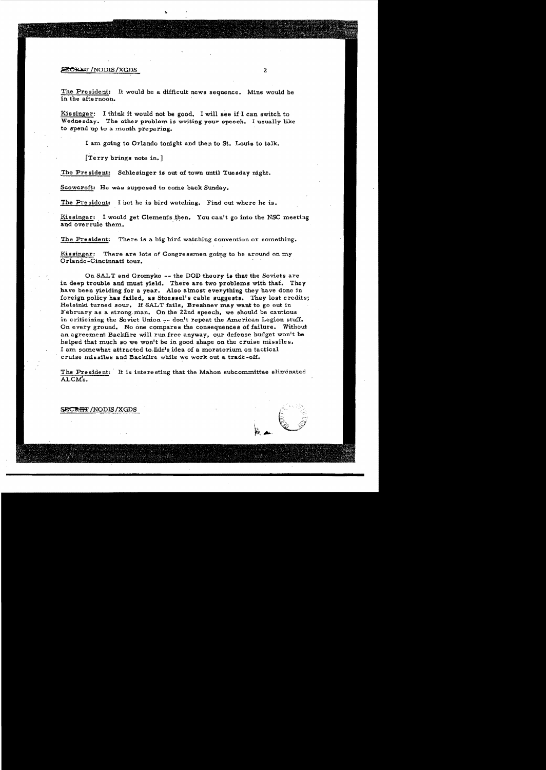## $\overline{\text{SECH}}$  in a set  $\overline{\text{FCH}}$  is a set  $\overline{\text{FCH}}$  is a set  $\overline{\text{FCH}}$  is a set  $\overline{\text{FCH}}$  is a set  $\overline{\text{FCH}}$  is a set  $\overline{\text{FCH}}$  is a set  $\overline{\text{FCH}}$  is a set of  $\overline{\text{FCH}}$  is a set of  $\overline{\text{FCH}}$  is a set of  $\$

The President: It would be a difficult news sequence. Mine would be in the afte rnoon.

Kissinger: I think it would not be good. I will see if I can switch to Wednesday. The other problem is writing your speech. I usually like to spend up to a month preparing.

I am going to Orlando tonight and then to St. Louis to talk.

[Terry brings note in.]

The President: Schlesinger is out of town until Tuesday night.

Scowcroft: He was supposed to come back Sunday.

The President: I bet he is bird watching. Find out where he is.

Kissinger: I would get Clements then. You can't go into the NSC meeting and overrule them. '

The President: There is a big bird watching convention or something.

Kissinger: There are lots of Congressmen going to be around on my Orlando-Cincinnati tour.

On SALT and Gromyko ~- the DOD theory is that the Soviets are in deep trouble and must yield. There are two problems with that. They have been yielding for a year. Also almost everything they have done in foreign policy has failed, as Stoessel's cable suggests. They lost credits; Helsinki turned sour. If SALT fails. Brezhnev may want to go out in February as a strong,man. On the ZZnd speech, we should be cautious in criticizing the Soviet Union  $-$ - don't repeat the American Legion stuff. On every ground. No one compares the consequences of failure. Without an agreement Backfire will run free anyway, our defense budget won't be helped that much so we won't be in good shape on the cruise missiles. I am somewhat attracted to Ikle's idea of a moratorium on tactical cruise missiles and Backlire while we work out a trade-off.

The President: It is interesting that the Mahon subcommittee eliminated ALCM'a.

### SECRET / NODIS / XGDS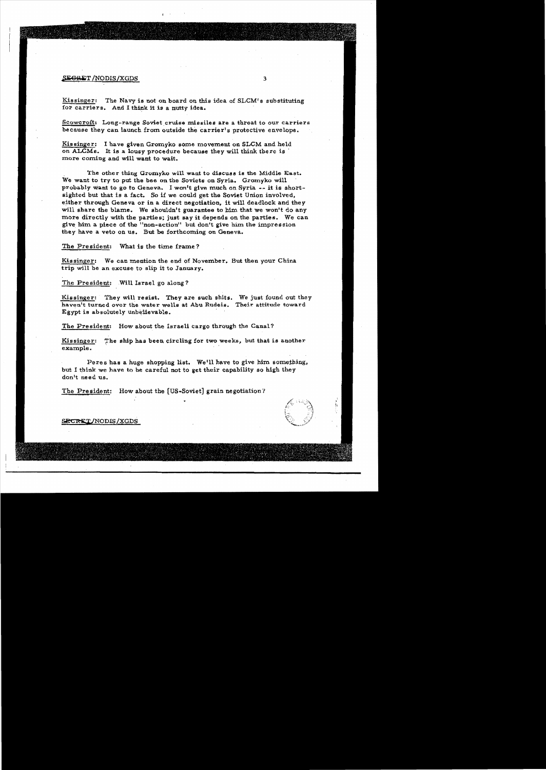## $S \to \text{F} \to \text{F}$  3

Kissinger: The Navy is not on board on this idea of  $SLCM$ 's substituting for carriers. And I think 1t is a nutty idea.

Scowcroft: Long-range Soviet cruise missiles are a threat to our carriers because they can launch from outside the carrier's protective envelope.

Kissinger: I have given Gromyko some movement on SLCM and held on ALCMs. It is a lousy procedure because they will think there is more coming and will want to wait.

The other thing Gromyko will want to discuss is the Middle East. We want to try to put the bee on the Soviets on Syria. Gromyko will probably want to go to Geneva. I won't give much on Syria -- it is shortsighted but that is a fact. 50 if we could get the Soviet Union involved, either through Geneva or in a direct negotiation, it will deadlock and they will share the blame. We shouldn't guarantee to him that we won't do any more directly with the parties; just say it depends on the parties. We can give him a piece of the "non-action" but don't give him the impression they have a veto on us. But be forthcoming on Geneva.

The President: What is the time frame?

Kissinger: We can mention the end of November. But then your China trip will be an excuse to slip it to January.

The President: Will Israel go along?

Kissinger: They will resist. They are such shits. We just found out they haven't turned ovor the water wells at Abu Rudeis. Their attitude toward Egypt is absolutely unbelievable.

The President: How about the Israeli cargo through the Canal?

Kissinger: The ship has been circling for two weeks, but that is another example.

Peres has a huge shopping list. Weill have to give him something, but I think we have to be careful not to get their capability so high they don't need us.

The President: How about the [US-Soviet] grain negotiation?



# SECRET/NODIS/XGDS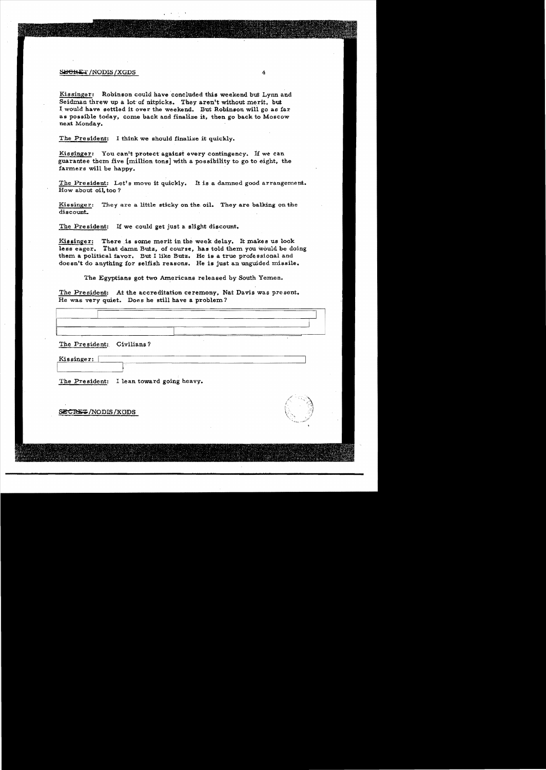## S<del>LICHET</del> /NODIS /XGDS 4

Kissinger: Robinson could have concluded this weekend but Lynn and Seidman threw up a lot of nitpicks. They aren't without merit, but I would have settled it over the weekend. But Robinson will go as far as possible today, come back and finalize it, then go back to Moscow next Monday.

The President: I think we should finalize it quickly.

Kissinger: You can't protect against every contingency. If we can guarantee them five  ${\rm [million \; tons]}$  with a possibility to go to eight, the farmers will be happy.

The President: Let's move it quickly. It is a damned good arrangement. How about oil too?

Kissinger: They are a little sticky on the oil. They are balking on the discount.

The President: If we could get just a slight discount.

Kissinger: There is some merit in the week delay. It makes us look less eager. That damn Butz, of course, has told them you would be doing them a political favor. But I like Butz. He is a true professional and doesn't do anything for selfish reasons. He is just an unguided missile.

The Egyptians got two Americans released by South Yemen.

The President: At the accreditation ceremony, Nat Davis was present. He was very quiet. Does be still have a problem?

I I  $\mathbf{I}$ I . The President: Civilians? Kissinger:

The President: I lean toward going heavy.

~/NODIS/KQDS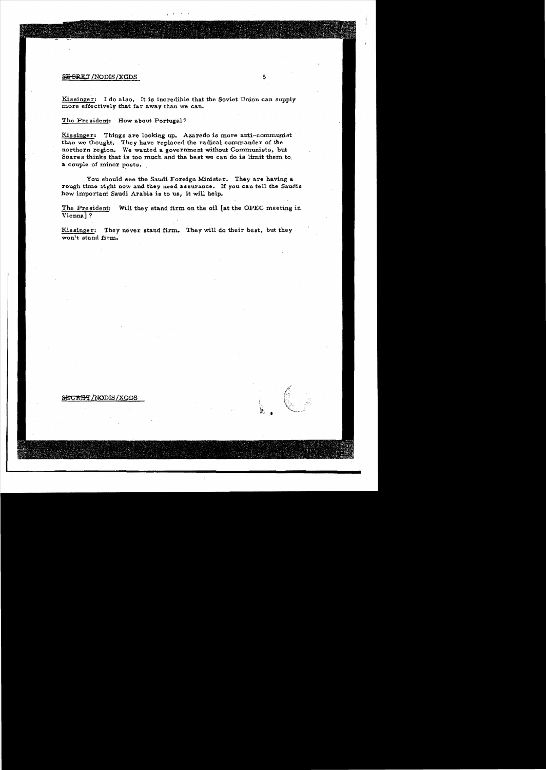# $-5$   $-5$

Kissinger: I do also. It is incredible that the Soviet Union can supply more effectively that far away than we can.

The President: How about Portugal?

Kissinger: Things are looking up. Azaredo is more anti-communist than we thought. They have replaced the radical commander of the northern region. We wanted a goverwnent without Communists. but Soares thinks that is too much and the best we can do is limit them to. a couple of minor posts.

You should see the Saudi Foreign Minister. They are having a rough time right now and they need assurance. If you can tell the Saudis how important Saudi Arabia is to us, it will help.

The President: Will they stand firm on the oil [at the OPEC meeting in Vienna] ? .

Kissinger; They never stand firm. They will do their best, but they won't stand firm.

## SECRET/NODIS/XGDS